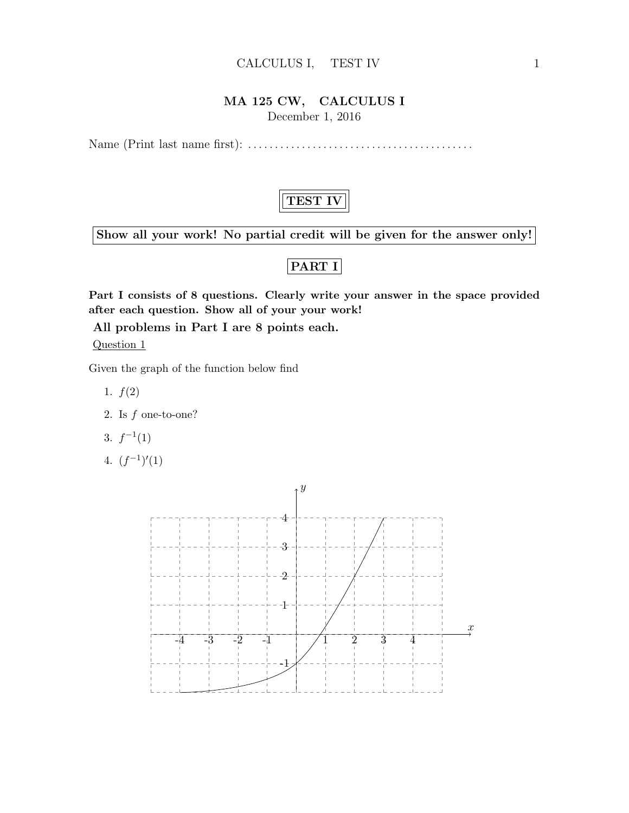#### CALCULUS I, TEST IV 1

### MA 125 CW, CALCULUS I

December 1, 2016

Name (Print last name first): . . . . . . . . . . . . . . . . . . . . . . . . . . . . . . . . . . . . . . . . . .

## TEST IV

Show all your work! No partial credit will be given for the answer only!

## PART I

Part I consists of 8 questions. Clearly write your answer in the space provided after each question. Show all of your your work!

All problems in Part I are 8 points each.

Question 1

Given the graph of the function below find

- 1.  $f(2)$
- 2. Is f one-to-one?
- 3.  $f^{-1}(1)$
- 4.  $(f^{-1})'(1)$

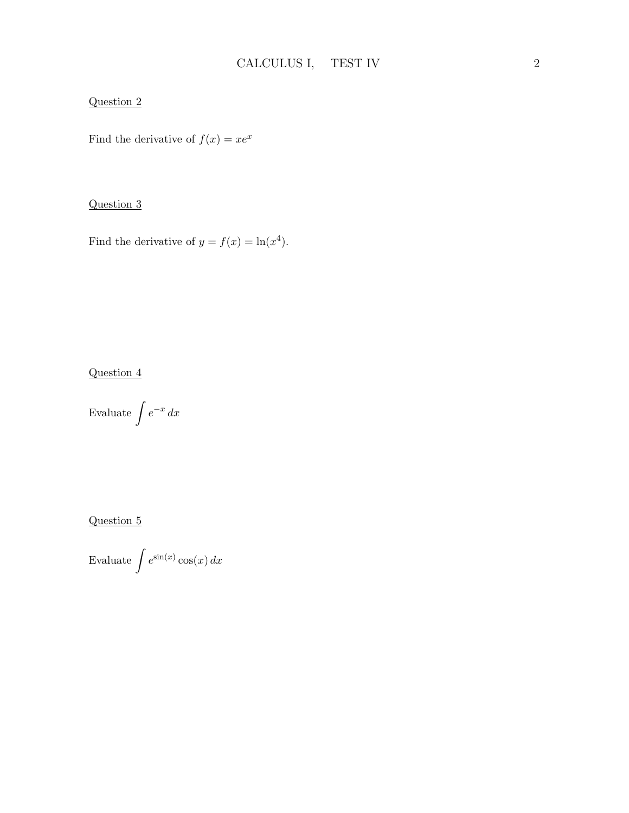#### Question 2

Find the derivative of  $f(x) = xe^x$ 

#### Question 3

Find the derivative of  $y = f(x) = \ln(x^4)$ .

#### Question 4

Evaluate  $\int e^{-x} dx$ 

Question 5

Evaluate  $\int e^{\sin(x)} \cos(x) dx$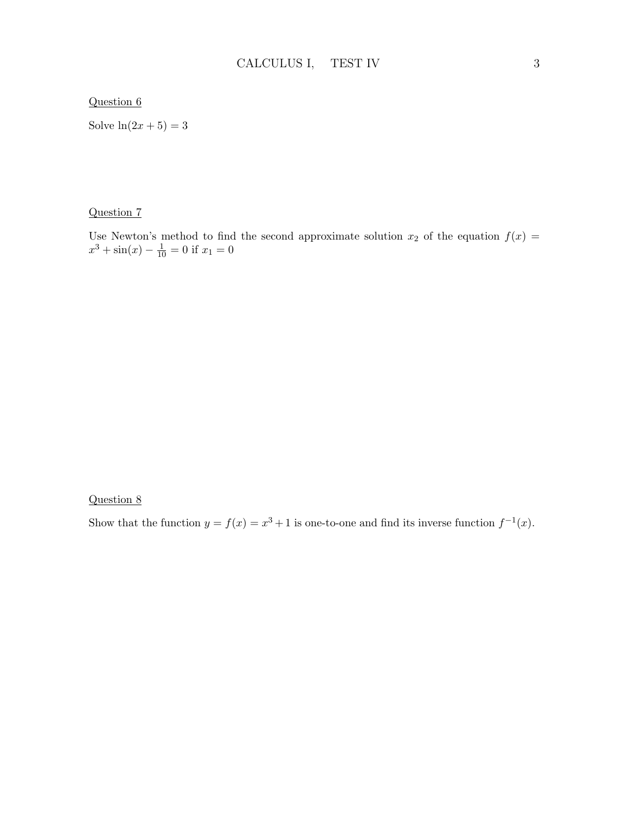#### Question 6

Solve  $ln(2x+5) = 3$ 

#### Question 7

Use Newton's method to find the second approximate solution  $x_2$  of the equation  $f(x) =$  $x^3 + \sin(x) - \frac{1}{10} = 0$  if  $x_1 = 0$ 

#### Question 8

Show that the function  $y = f(x) = x^3 + 1$  is one-to-one and find its inverse function  $f^{-1}(x)$ .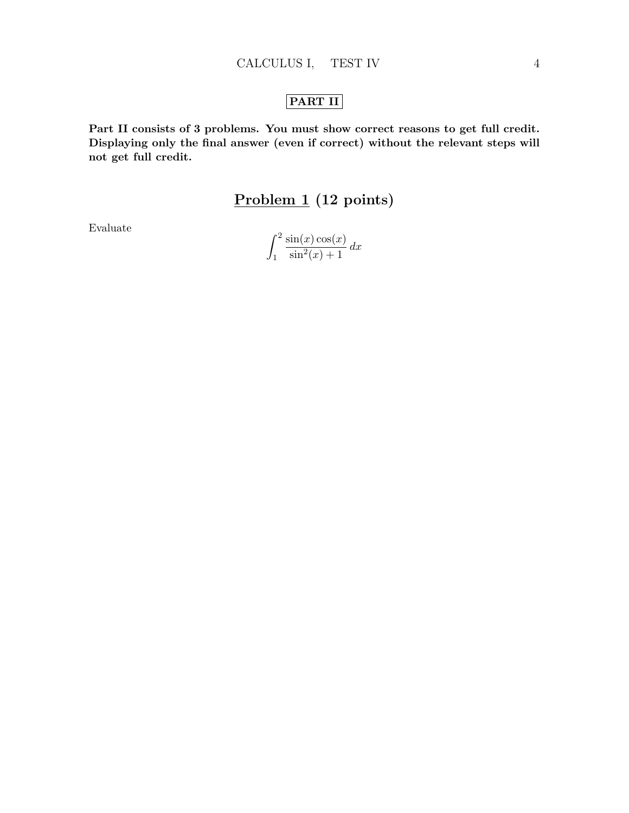## PART II

Part II consists of 3 problems. You must show correct reasons to get full credit. Displaying only the final answer (even if correct) without the relevant steps will not get full credit.

## Problem 1 (12 points)

Evaluate

$$
\int_1^2 \frac{\sin(x)\cos(x)}{\sin^2(x) + 1} dx
$$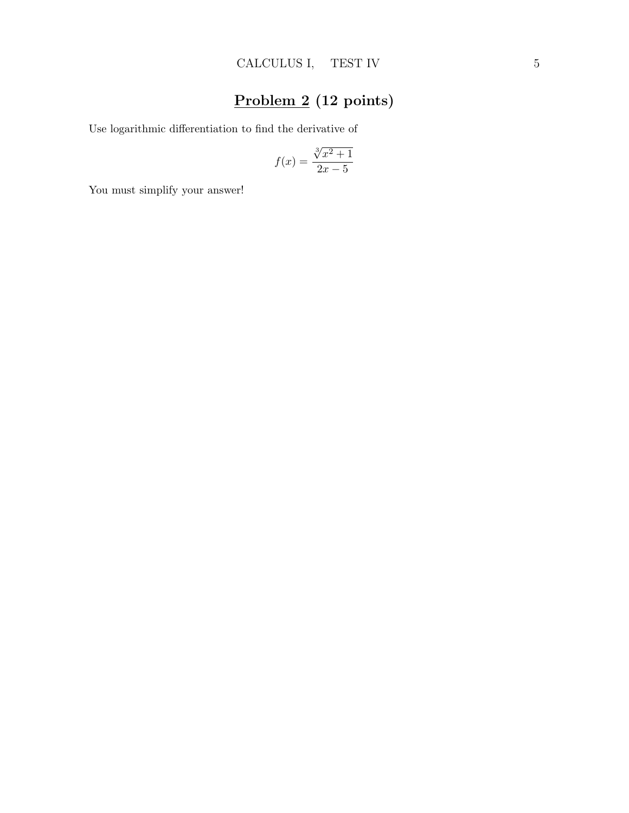# Problem 2 (12 points)

Use logarithmic differentiation to find the derivative of

$$
f(x) = \frac{\sqrt[3]{x^2 + 1}}{2x - 5}
$$

You must simplify your answer!